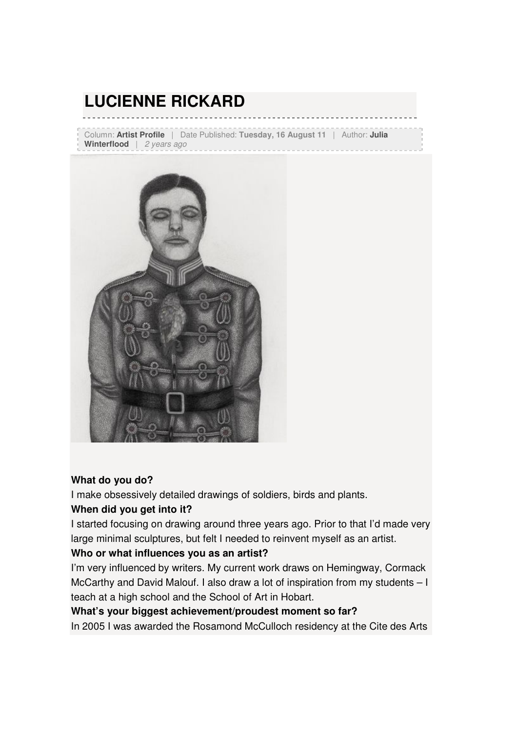# **LUCIENNE RICKARD**

Column: **Artist Profile** | Date Published: **Tuesday, 16 August 11** | Author: **Julia**  Winterflood | 2 years ago



#### **What do you do?**

I make obsessively detailed drawings of soldiers, birds and plants.

#### **When did you get into it?**

I started focusing on drawing around three years ago. Prior to that I'd made very large minimal sculptures, but felt I needed to reinvent myself as an artist.

#### **Who or what influences you as an artist?**

I'm very influenced by writers. My current work draws on Hemingway, Cormack McCarthy and David Malouf. I also draw a lot of inspiration from my students – I teach at a high school and the School of Art in Hobart.

#### **What's your biggest achievement/proudest moment so far?**

In 2005 I was awarded the Rosamond McCulloch residency at the Cite des Arts